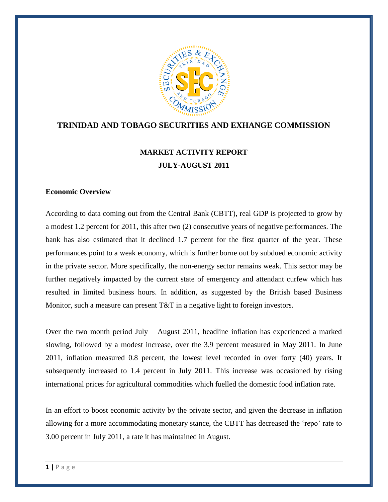

# **TRINIDAD AND TOBAGO SECURITIES AND EXHANGE COMMISSION**

# **MARKET ACTIVITY REPORT JULY-AUGUST 2011**

#### **Economic Overview**

According to data coming out from the Central Bank (CBTT), real GDP is projected to grow by a modest 1.2 percent for 2011, this after two (2) consecutive years of negative performances. The bank has also estimated that it declined 1.7 percent for the first quarter of the year. These performances point to a weak economy, which is further borne out by subdued economic activity in the private sector. More specifically, the non-energy sector remains weak. This sector may be further negatively impacted by the current state of emergency and attendant curfew which has resulted in limited business hours. In addition, as suggested by the British based Business Monitor, such a measure can present T&T in a negative light to foreign investors.

Over the two month period July – August 2011, headline inflation has experienced a marked slowing, followed by a modest increase, over the 3.9 percent measured in May 2011. In June 2011, inflation measured 0.8 percent, the lowest level recorded in over forty (40) years. It subsequently increased to 1.4 percent in July 2011. This increase was occasioned by rising international prices for agricultural commodities which fuelled the domestic food inflation rate.

In an effort to boost economic activity by the private sector, and given the decrease in inflation allowing for a more accommodating monetary stance, the CBTT has decreased the 'repo' rate to 3.00 percent in July 2011, a rate it has maintained in August.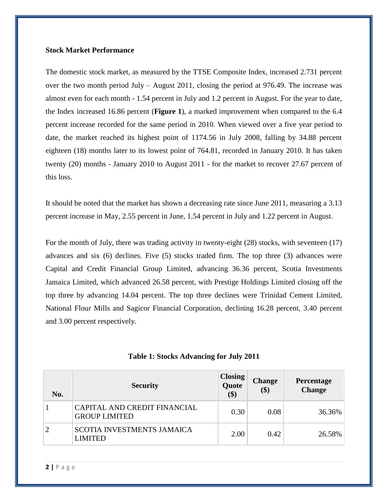#### **Stock Market Performance**

The domestic stock market, as measured by the TTSE Composite Index, increased 2.731 percent over the two month period July – August 2011, closing the period at 976.49. The increase was almost even for each month - 1.54 percent in July and 1.2 percent in August. For the year to date, the Index increased 16.86 percent (**Figure 1**), a marked improvement when compared to the 6.4 percent increase recorded for the same period in 2010. When viewed over a five year period to date, the market reached its highest point of 1174.56 in July 2008, falling by 34.88 percent eighteen (18) months later to its lowest point of 764.81, recorded in January 2010. It has taken twenty (20) months - January 2010 to August 2011 - for the market to recover 27.67 percent of this loss.

It should be noted that the market has shown a decreasing rate since June 2011, measuring a 3.13 percent increase in May, 2.55 percent in June, 1.54 percent in July and 1.22 percent in August.

For the month of July, there was trading activity in twenty-eight (28) stocks, with seventeen (17) advances and six (6) declines. Five (5) stocks traded firm. The top three (3) advances were Capital and Credit Financial Group Limited, advancing 36.36 percent, Scotia Investments Jamaica Limited, which advanced 26.58 percent, with Prestige Holdings Limited closing off the top three by advancing 14.04 percent. The top three declines were Trinidad Cement Limited, National Flour Mills and Sagicor Financial Corporation, declining 16.28 percent, 3.40 percent and 3.00 percent respectively.

| Table 1: Stocks Advancing for July 2011 |  |  |  |
|-----------------------------------------|--|--|--|
|-----------------------------------------|--|--|--|

| No.            | <b>Security</b>                                      | <b>Closing</b><br>Quote<br>\$) | <b>Change</b><br>\$) | Percentage<br><b>Change</b> |
|----------------|------------------------------------------------------|--------------------------------|----------------------|-----------------------------|
|                | CAPITAL AND CREDIT FINANCIAL<br><b>GROUP LIMITED</b> | 0.30                           | 0.08                 | 36.36%                      |
| $\overline{2}$ | <b>SCOTIA INVESTMENTS JAMAICA</b><br><b>LIMITED</b>  | 2.00                           | 0.42                 | 26.58%                      |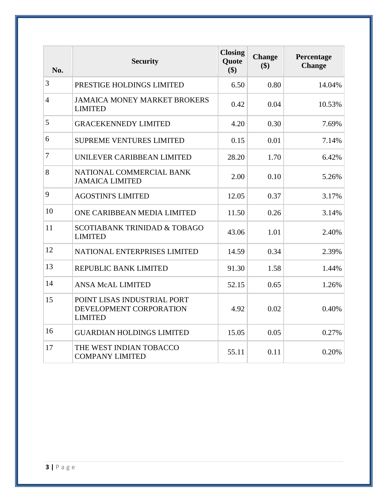| No.            | <b>Security</b>                                                          | <b>Closing</b><br>Quote<br>\$) | <b>Change</b><br>\$) | Percentage<br><b>Change</b> |
|----------------|--------------------------------------------------------------------------|--------------------------------|----------------------|-----------------------------|
| 3              | PRESTIGE HOLDINGS LIMITED                                                | 6.50                           | 0.80                 | 14.04%                      |
| $\overline{4}$ | <b>JAMAICA MONEY MARKET BROKERS</b><br><b>LIMITED</b>                    | 0.42                           | 0.04                 | 10.53%                      |
| 5              | <b>GRACEKENNEDY LIMITED</b>                                              | 4.20                           | 0.30                 | 7.69%                       |
| 6              | <b>SUPREME VENTURES LIMITED</b>                                          | 0.15                           | 0.01                 | 7.14%                       |
| 7              | UNILEVER CARIBBEAN LIMITED                                               | 28.20                          | 1.70                 | 6.42%                       |
| 8              | NATIONAL COMMERCIAL BANK<br><b>JAMAICA LIMITED</b>                       | 2.00                           | 0.10                 | 5.26%                       |
| 9              | <b>AGOSTINI'S LIMITED</b>                                                | 12.05                          | 0.37                 | 3.17%                       |
| 10             | ONE CARIBBEAN MEDIA LIMITED                                              | 11.50                          | 0.26                 | 3.14%                       |
| 11             | <b>SCOTIABANK TRINIDAD &amp; TOBAGO</b><br><b>LIMITED</b>                | 43.06                          | 1.01                 | 2.40%                       |
| 12             | <b>NATIONAL ENTERPRISES LIMITED</b>                                      | 14.59                          | 0.34                 | 2.39%                       |
| 13             | REPUBLIC BANK LIMITED                                                    | 91.30                          | 1.58                 | 1.44%                       |
| 14             | <b>ANSA McAL LIMITED</b>                                                 | 52.15                          | 0.65                 | 1.26%                       |
| 15             | POINT LISAS INDUSTRIAL PORT<br>DEVELOPMENT CORPORATION<br><b>LIMITED</b> | 4.92                           | 0.02                 | 0.40%                       |
| 16             | <b>GUARDIAN HOLDINGS LIMITED</b>                                         | 15.05                          | 0.05                 | 0.27%                       |
| 17             | THE WEST INDIAN TOBACCO<br><b>COMPANY LIMITED</b>                        | 55.11                          | 0.11                 | 0.20%                       |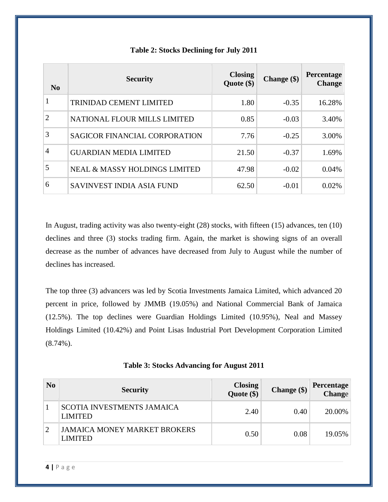| No             | <b>Security</b>                          | <b>Closing</b><br>Quote $(\$)$ | Change (\$) | Percentage<br><b>Change</b> |
|----------------|------------------------------------------|--------------------------------|-------------|-----------------------------|
|                | <b>TRINIDAD CEMENT LIMITED</b>           | 1.80                           | $-0.35$     | 16.28%                      |
| $\overline{2}$ | NATIONAL FLOUR MILLS LIMITED             | 0.85                           | $-0.03$     | 3.40%                       |
| 3              | <b>SAGICOR FINANCIAL CORPORATION</b>     | 7.76                           | $-0.25$     | 3.00%                       |
| $\overline{4}$ | <b>GUARDIAN MEDIA LIMITED</b>            | 21.50                          | $-0.37$     | 1.69%                       |
|                | <b>NEAL &amp; MASSY HOLDINGS LIMITED</b> | 47.98                          | $-0.02$     | 0.04%                       |
| 6              | SAVINVEST INDIA ASIA FUND                | 62.50                          | $-0.01$     | 0.02%                       |

## **Table 2: Stocks Declining for July 2011**

In August, trading activity was also twenty-eight (28) stocks, with fifteen (15) advances, ten (10) declines and three (3) stocks trading firm. Again, the market is showing signs of an overall decrease as the number of advances have decreased from July to August while the number of declines has increased.

The top three (3) advancers was led by Scotia Investments Jamaica Limited, which advanced 20 percent in price, followed by JMMB (19.05%) and National Commercial Bank of Jamaica (12.5%). The top declines were Guardian Holdings Limited (10.95%), Neal and Massey Holdings Limited (10.42%) and Point Lisas Industrial Port Development Corporation Limited  $(8.74\%)$ .

|  |  | <b>Table 3: Stocks Advancing for August 2011</b> |
|--|--|--------------------------------------------------|
|--|--|--------------------------------------------------|

| $\bf No$ | <b>Security</b>                                       | Closing<br>Quote (\$) | Change (\$) | <b>Percentage</b><br>Change |
|----------|-------------------------------------------------------|-----------------------|-------------|-----------------------------|
|          | <b>SCOTIA INVESTMENTS JAMAICA</b><br><b>LIMITED</b>   | 2.40                  | 0.40        | 20.00%                      |
|          | <b>JAMAICA MONEY MARKET BROKERS</b><br><b>LIMITED</b> | 0.50                  | 0.08        | 19.05%                      |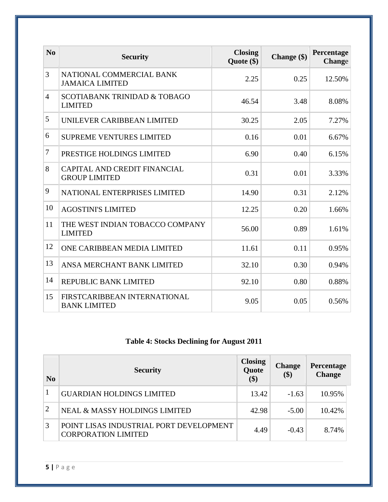| N <sub>0</sub> | <b>Security</b>                                           | <b>Closing</b><br>Quote (\$) | Change (\$) | Percentage<br>Change |
|----------------|-----------------------------------------------------------|------------------------------|-------------|----------------------|
| 3              | NATIONAL COMMERCIAL BANK<br><b>JAMAICA LIMITED</b>        | 2.25                         | 0.25        | 12.50%               |
| $\overline{4}$ | <b>SCOTIABANK TRINIDAD &amp; TOBAGO</b><br><b>LIMITED</b> | 46.54                        | 3.48        | 8.08%                |
| 5              | UNILEVER CARIBBEAN LIMITED                                | 30.25                        | 2.05        | 7.27%                |
| 6              | <b>SUPREME VENTURES LIMITED</b>                           | 0.16                         | 0.01        | 6.67%                |
| $\tau$         | PRESTIGE HOLDINGS LIMITED                                 | 6.90                         | 0.40        | 6.15%                |
| 8              | CAPITAL AND CREDIT FINANCIAL<br><b>GROUP LIMITED</b>      | 0.31                         | 0.01        | 3.33%                |
| 9              | NATIONAL ENTERPRISES LIMITED                              | 14.90                        | 0.31        | 2.12%                |
| 10             | <b>AGOSTINI'S LIMITED</b>                                 | 12.25                        | 0.20        | 1.66%                |
| 11             | THE WEST INDIAN TOBACCO COMPANY<br><b>LIMITED</b>         | 56.00                        | 0.89        | 1.61%                |
| 12             | ONE CARIBBEAN MEDIA LIMITED                               | 11.61                        | 0.11        | 0.95%                |
| 13             | ANSA MERCHANT BANK LIMITED                                | 32.10                        | 0.30        | 0.94%                |
| 14             | REPUBLIC BANK LIMITED                                     | 92.10                        | 0.80        | 0.88%                |
| 15             | FIRSTCARIBBEAN INTERNATIONAL<br><b>BANK LIMITED</b>       | 9.05                         | 0.05        | 0.56%                |

# **Table 4: Stocks Declining for August 2011**

| N <sub>0</sub> | <b>Security</b>                                                       | <b>Closing</b><br>Quote<br>\$) | <b>Change</b><br>\$) | Percentage<br><b>Change</b> |
|----------------|-----------------------------------------------------------------------|--------------------------------|----------------------|-----------------------------|
|                | <b>GUARDIAN HOLDINGS LIMITED</b>                                      | 13.42                          | $-1.63$              | 10.95%                      |
| 2              | <b>NEAL &amp; MASSY HOLDINGS LIMITED</b>                              | 42.98                          | $-5.00$              | 10.42%                      |
| 3              | POINT LISAS INDUSTRIAL PORT DEVELOPMENT<br><b>CORPORATION LIMITED</b> | 4.49                           | $-0.43$              | 8.74%                       |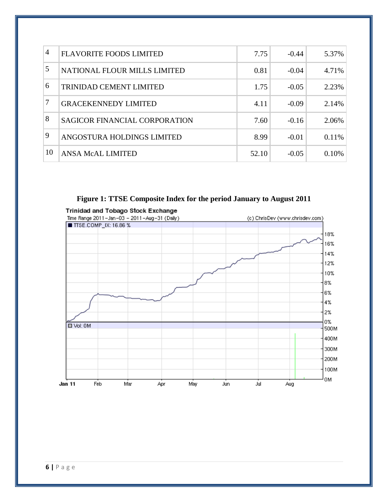| $\overline{4}$ | <b>FLAVORITE FOODS LIMITED</b>       | 7.75  | $-0.44$ | 5.37% |
|----------------|--------------------------------------|-------|---------|-------|
| 5              | NATIONAL FLOUR MILLS LIMITED         | 0.81  | $-0.04$ | 4.71% |
| 6              | <b>TRINIDAD CEMENT LIMITED</b>       | 1.75  | $-0.05$ | 2.23% |
| 7              | <b>GRACEKENNEDY LIMITED</b>          | 4.11  | $-0.09$ | 2.14% |
| 8              | <b>SAGICOR FINANCIAL CORPORATION</b> | 7.60  | $-0.16$ | 2.06% |
| 9              | ANGOSTURA HOLDINGS LIMITED           | 8.99  | $-0.01$ | 0.11% |
| 10             | <b>ANSA McAL LIMITED</b>             | 52.10 | $-0.05$ | 0.10% |

**Figure 1: TTSE Composite Index for the period January to August 2011**

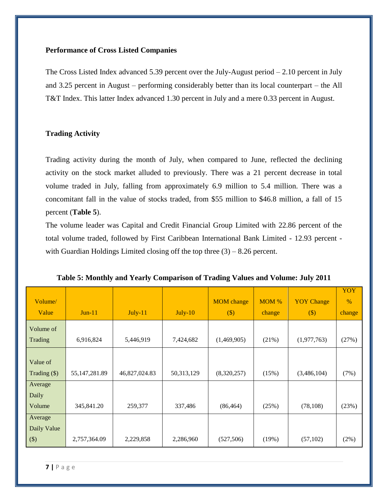#### **Performance of Cross Listed Companies**

The Cross Listed Index advanced 5.39 percent over the July-August period – 2.10 percent in July and 3.25 percent in August – performing considerably better than its local counterpart – the All T&T Index. This latter Index advanced 1.30 percent in July and a mere 0.33 percent in August.

#### **Trading Activity**

Trading activity during the month of July, when compared to June, reflected the declining activity on the stock market alluded to previously. There was a 21 percent decrease in total volume traded in July, falling from approximately 6.9 million to 5.4 million. There was a concomitant fall in the value of stocks traded, from \$55 million to \$46.8 million, a fall of 15 percent (**Table 5**).

The volume leader was Capital and Credit Financial Group Limited with 22.86 percent of the total volume traded, followed by First Caribbean International Bank Limited - 12.93 percent with Guardian Holdings Limited closing off the top three  $(3) - 8.26$  percent.

| Volume/        |                 |               |            | <b>MOM</b> change | MOM %  | <b>YOY</b> Change | <b>YOY</b><br>$\%$ |
|----------------|-----------------|---------------|------------|-------------------|--------|-------------------|--------------------|
| Value          | $Jun-11$        | $July-11$     | $July-10$  | $(\$)$            | change | $(\$)$            | change             |
| Volume of      |                 |               |            |                   |        |                   |                    |
| Trading        | 6,916,824       | 5,446,919     | 7,424,682  | (1,469,905)       | (21%)  | (1,977,763)       | (27%)              |
|                |                 |               |            |                   |        |                   |                    |
| Value of       |                 |               |            |                   |        |                   |                    |
| Trading $(\$)$ | 55, 147, 281.89 | 46,827,024.83 | 50,313,129 | (8,320,257)       | (15%)  | (3,486,104)       | (7%)               |
| Average        |                 |               |            |                   |        |                   |                    |
| Daily          |                 |               |            |                   |        |                   |                    |
| Volume         | 345,841.20      | 259,377       | 337,486    | (86, 464)         | (25%)  | (78, 108)         | (23%)              |
| Average        |                 |               |            |                   |        |                   |                    |
| Daily Value    |                 |               |            |                   |        |                   |                    |
| $(\$)$         | 2,757,364.09    | 2,229,858     | 2,286,960  | (527, 506)        | (19%)  | (57,102)          | (2%)               |

| Table 5: Monthly and Yearly Comparison of Trading Values and Volume: July 2011 |  |  |  |
|--------------------------------------------------------------------------------|--|--|--|
|                                                                                |  |  |  |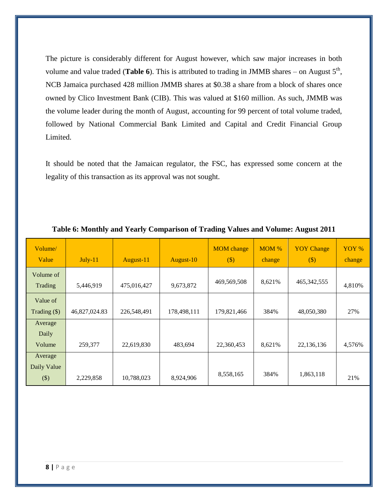The picture is considerably different for August however, which saw major increases in both volume and value traded (**Table 6**). This is attributed to trading in JMMB shares – on August  $5<sup>th</sup>$ , NCB Jamaica purchased 428 million JMMB shares at \$0.38 a share from a block of shares once owned by Clico Investment Bank (CIB). This was valued at \$160 million. As such, JMMB was the volume leader during the month of August, accounting for 99 percent of total volume traded, followed by National Commercial Bank Limited and Capital and Credit Financial Group Limited.

It should be noted that the Jamaican regulator, the FSC, has expressed some concern at the legality of this transaction as its approval was not sought.

| Volume/<br>Value                  | $July-11$     | August-11   | August-10   | <b>MOM</b> change<br>$(\$)$ | MOM %<br>change | <b>YOY</b> Change<br>$(\$)$ | YOY %<br>change |
|-----------------------------------|---------------|-------------|-------------|-----------------------------|-----------------|-----------------------------|-----------------|
| Volume of<br>Trading              | 5,446,919     | 475,016,427 | 9,673,872   | 469,569,508                 | 8,621%          | 465, 342, 555               | 4,810%          |
| Value of<br>Trading $(\$)$        | 46,827,024.83 | 226,548,491 | 178,498,111 | 179,821,466                 | 384%            | 48,050,380                  | 27%             |
| Average<br>Daily<br>Volume        | 259,377       | 22,619,830  | 483,694     | 22,360,453                  | 8,621%          | 22,136,136                  | 4,576%          |
| Average<br>Daily Value<br>$($ \$) | 2,229,858     | 10,788,023  | 8,924,906   | 8,558,165                   | 384%            | 1,863,118                   | 21%             |

#### **Table 6: Monthly and Yearly Comparison of Trading Values and Volume: August 2011**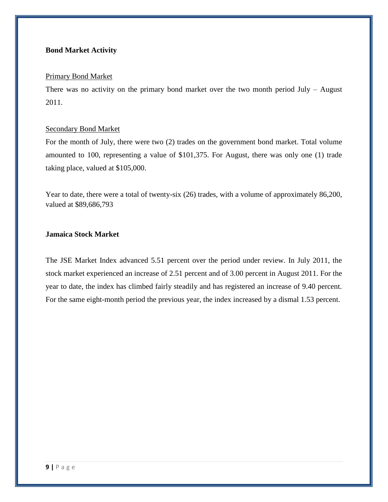## **Bond Market Activity**

#### Primary Bond Market

There was no activity on the primary bond market over the two month period July – August 2011.

#### Secondary Bond Market

For the month of July, there were two (2) trades on the government bond market. Total volume amounted to 100, representing a value of \$101,375. For August, there was only one (1) trade taking place, valued at \$105,000.

Year to date, there were a total of twenty-six (26) trades, with a volume of approximately 86,200, valued at \$89,686,793

# **Jamaica Stock Market**

The JSE Market Index advanced 5.51 percent over the period under review. In July 2011, the stock market experienced an increase of 2.51 percent and of 3.00 percent in August 2011. For the year to date, the index has climbed fairly steadily and has registered an increase of 9.40 percent. For the same eight-month period the previous year, the index increased by a dismal 1.53 percent.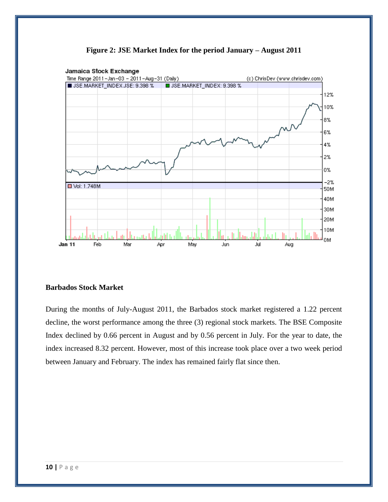

**Figure 2: JSE Market Index for the period January – August 2011**

## **Barbados Stock Market**

During the months of July-August 2011, the Barbados stock market registered a 1.22 percent decline, the worst performance among the three (3) regional stock markets. The BSE Composite Index declined by 0.66 percent in August and by 0.56 percent in July. For the year to date, the index increased 8.32 percent. However, most of this increase took place over a two week period between January and February. The index has remained fairly flat since then.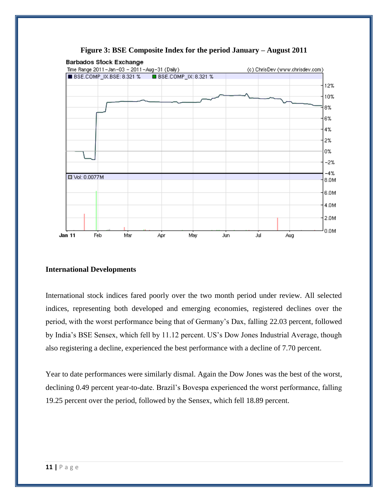

**Figure 3: BSE Composite Index for the period January – August 2011**

## **International Developments**

International stock indices fared poorly over the two month period under review. All selected indices, representing both developed and emerging economies, registered declines over the period, with the worst performance being that of Germany's Dax, falling 22.03 percent, followed by India's BSE Sensex, which fell by 11.12 percent. US's Dow Jones Industrial Average, though also registering a decline, experienced the best performance with a decline of 7.70 percent.

Year to date performances were similarly dismal. Again the Dow Jones was the best of the worst, declining 0.49 percent year-to-date. Brazil's Bovespa experienced the worst performance, falling 19.25 percent over the period, followed by the Sensex, which fell 18.89 percent.